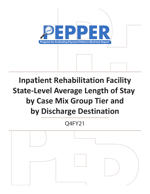

# **Inpatient Rehabilitation Facility State-Level Average Length of Stay by Case Mix Group Tier and by Discharge Destination**

Q4FY21

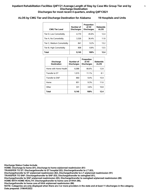# **ALOS by CMG Tier and Discharge Destination for Alabama 19 Hospitals and Units**

| <b>CMG Tier Level</b>      | Number of<br><b>Discharges</b> | Proportion<br>of All<br><b>Discharges</b> | <b>Statewide</b><br><b>ALOS</b> |
|----------------------------|--------------------------------|-------------------------------------------|---------------------------------|
| Tier D. Low Comorbidity    | 4.170                          | 45.6%                                     | 12.4                            |
| Tier A, No Comorbidity     | 3.326                          | 36.4%                                     | 11.8                            |
| Tier C, Medium Comorbidity | 841                            | 92%                                       | 13.2                            |
| Tier B, High Comorbidity   | 808                            | 8.8%                                      | 13.5                            |
| Total                      | 9.145                          | 100%                                      | 12.4                            |

| <b>Discharge</b><br><b>Destination</b> | Number of<br><b>Discharges</b> | Proportion<br>of All<br><b>Discharges</b> | <b>Statewide</b><br><b>ALOS</b> |
|----------------------------------------|--------------------------------|-------------------------------------------|---------------------------------|
| Home with Home Health                  | 6.088                          | 66.6%                                     | 12.8                            |
| Transfer to ST                         | 1.015                          | 11.1%                                     | 8.1                             |
| Transfer to SNF                        | 860                            | 9.4%                                      | 15.9                            |
| Home                                   | 851                            | 9.3%                                      | 11.6                            |
| Other                                  | 331                            | 3.6%                                      | 10.8                            |
| <b>Total</b>                           | 9.145                          | 100%                                      | 12.4                            |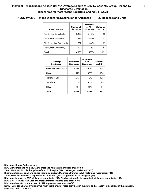#### **ALOS by CMG Tier and Discharge Destination for Arkansas 27 Hospitals and Units**

| <b>CMG Tier Level</b>      | Number of<br><b>Discharges</b> | Proportion<br>of All<br><b>Discharges</b> | <b>Statewide</b><br><b>ALOS</b> |
|----------------------------|--------------------------------|-------------------------------------------|---------------------------------|
| Tier D, Low Comorbidity    | 5.490                          | 51.0%                                     | 12.0                            |
| Tier A, No Comorbidity     | 3.881                          | 36.1%                                     | 11.7                            |
| Tier C, Medium Comorbidity | 902                            | 8.4%                                      | 13.3                            |
| Tier B, High Comorbidity   | 492                            | 4.6%                                      | 13.2                            |
| Total                      | 10.765                         | 100%                                      | 12.1                            |

| <b>Discharge</b><br><b>Destination</b> | Number of<br><b>Discharges</b> | Proportion<br>of All<br><b>Discharges</b> | <b>Statewide</b><br><b>ALOS</b> |
|----------------------------------------|--------------------------------|-------------------------------------------|---------------------------------|
| Home with Home Health                  | 6.466                          | 60.1%                                     | 12.5                            |
| Home                                   | 1.776                          | 16.5%                                     | 10.8                            |
| Transfer to SNF                        | 1,217                          | 11.3%                                     | 15.5                            |
| Transfer to ST                         | 1.002                          | 9.3%                                      | 7.9                             |
| Other                                  | 304                            | 2.8%                                      | 9.1                             |
| <b>Total</b>                           | 10.765                         | 100%                                      | 12.1                            |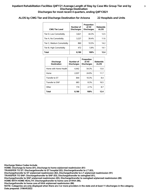# **ALOS by CMG Tier and Discharge Destination for Arizona 22 Hospitals and Units**

| <b>CMG Tier Level</b>      | Number of<br><b>Discharges</b> | Proportion<br>of All<br><b>Discharges</b> | <b>Statewide</b><br><b>ALOS</b> |
|----------------------------|--------------------------------|-------------------------------------------|---------------------------------|
| Tier D, Low Comorbidity    | 3.621                          | 44.3%                                     | 12.5                            |
| Tier A, No Comorbidity     | 3.227                          | 39.4%                                     | 11.6                            |
| Tier C, Medium Comorbidity | 860                            | 10.5%                                     | 14.2                            |
| Tier B, High Comorbidity   | 472                            | 5.8%                                      | 14.1                            |
| Total                      | 8.180                          | 100%                                      | 12.4                            |

| <b>Discharge</b><br><b>Destination</b> | Number of<br><b>Discharges</b> | Proportion<br>of All<br><b>Discharges</b> | <b>Statewide</b><br><b>ALOS</b> |
|----------------------------------------|--------------------------------|-------------------------------------------|---------------------------------|
| Home with Home Health                  | 4.442                          | 54.3%                                     | 13.0                            |
| Home                                   | 2,037                          | 24.9%                                     | 11.7                            |
| Transfer to ST                         | 844                            | 10.3%                                     | 8.4                             |
| Transfer to SNF                        | 683                            | 8.3%                                      | 16.5                            |
| Other                                  | 174                            | 2.1%                                      | 8.7                             |
| <b>Total</b>                           | 8.180                          | 100%                                      | 12.4                            |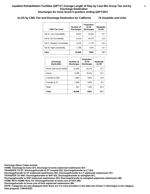# **ALOS by CMG Tier and Discharge Destination for California 75 Hospitals and Units**

| <b>CMG Tier Level</b>      | Number of<br><b>Discharges</b> | Proportion<br>of All<br><b>Discharges</b> | <b>Statewide</b><br><b>ALOS</b> |
|----------------------------|--------------------------------|-------------------------------------------|---------------------------------|
| Tier D, Low Comorbidity    | 8.422                          | 42.0%                                     | 13.1                            |
| Tier A, No Comorbidity     | 8.154                          | 40.7%                                     | 12.5                            |
| Tier C, Medium Comorbidity | 2.274                          | 11.3%                                     | 14.2                            |
| Tier B, High Comorbidity   | 1.198                          | 6.0%                                      | 14.1                            |
| Total                      | 20,048                         | 100%                                      | 13.1                            |

| <b>Discharge</b><br><b>Destination</b> | Number of<br><b>Discharges</b> | Proportion<br>of All<br><b>Discharges</b> | <b>Statewide</b><br><b>ALOS</b> |
|----------------------------------------|--------------------------------|-------------------------------------------|---------------------------------|
| Home with Home Health                  | 12.469                         | 62.2%                                     | 13.7                            |
| Home                                   | 3.295                          | 16.4%                                     | 12.2                            |
| Transfer to SNF                        | 1.964                          | 9.8%                                      | 15.6                            |
| Transfer to ST                         | 1.959                          | 9.8%                                      | 8.7                             |
| Other                                  | 361                            | 1.8%                                      | 10.3                            |
| <b>Total</b>                           | 20.048                         | 100%                                      | 13.1                            |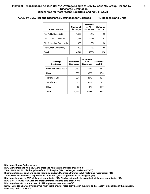# **ALOS by CMG Tier and Discharge Destination for Colorado 17 Hospitals and Units**

| <b>CMG Tier Level</b>      | Number of<br><b>Discharges</b> | Proportion<br>of All<br><b>Discharges</b> | <b>Statewide</b><br><b>ALOS</b> |
|----------------------------|--------------------------------|-------------------------------------------|---------------------------------|
| Tier A, No Comorbidity     | 1.956                          | 46.1%                                     | 12.0                            |
| Tier D, Low Comorbidity    | 1.618                          | 38.2%                                     | 13.3                            |
| Tier C, Medium Comorbidity | 468                            | 11.0%                                     | 13.6                            |
| Tier B, High Comorbidity   | 199                            | 4.7%                                      | 14.0                            |
| Total                      | 4.241                          | 100%                                      | 12.8                            |

| <b>Discharge</b><br><b>Destination</b> | Number of<br><b>Discharges</b> | Proportion<br>of All<br><b>Discharges</b> | <b>Statewide</b><br><b>ALOS</b> |
|----------------------------------------|--------------------------------|-------------------------------------------|---------------------------------|
| Home with Home Health                  | 2.430                          | 57.3%                                     | 13.3                            |
| Home                                   | 839                            | 19.8%                                     | 10.6                            |
| Transfer to SNF                        | 534                            | 12.6%                                     | 16.7                            |
| Transfer to ST                         | 371                            | 8.7%                                      | 9.2                             |
| Other                                  | 67                             | 1.6%                                      | 10.7                            |
| <b>Total</b>                           | 4.241                          | 100%                                      | 12.8                            |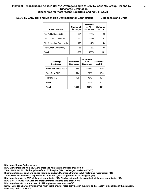# **ALOS by CMG Tier and Discharge Destination for Connecticut 7 Hospitals and Units**

| <b>CMG Tier Level</b>      | Number of<br><b>Discharges</b> | Proportion<br>of All<br><b>Discharges</b> | <b>Statewide</b><br><b>ALOS</b> |
|----------------------------|--------------------------------|-------------------------------------------|---------------------------------|
| Tier A, No Comorbidity     | 601                            | 47.4%                                     | 12.8                            |
| Tier D, Low Comorbidity    | 490                            | 38.6%                                     | 13.2                            |
| Tier C, Medium Comorbidity | 123                            | 97%                                       | 144                             |
| Tier B, High Comorbidity   | 55                             | 4.3%                                      | 13.8                            |
| Total                      | 1.269                          | 100%                                      | 13.1                            |

| <b>Discharge</b><br><b>Destination</b> | Number of<br><b>Discharges</b> | Proportion<br>of All<br><b>Discharges</b> | <b>Statewide</b><br><b>ALOS</b> |
|----------------------------------------|--------------------------------|-------------------------------------------|---------------------------------|
| Home with Home Health                  | 844                            | 66.5%                                     | 12.9                            |
| Transfer to SNF                        | 224                            | 17.7%                                     | 16.6                            |
| Transfer to ST                         | 138                            | 10.9%                                     | 10.1                            |
| Home                                   | 53                             | 4.2%                                      | 10.2                            |
| Total                                  | 1.269                          | 100%                                      | 13.1                            |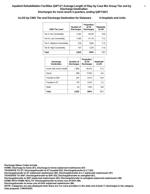# **ALOS by CMG Tier and Discharge Destination for Delaware 4 Hospitals and Units**

| <b>CMG Tier Level</b>      | Number of<br><b>Discharges</b> | Proportion<br>of All<br><b>Discharges</b> | <b>Statewide</b><br><b>ALOS</b> |
|----------------------------|--------------------------------|-------------------------------------------|---------------------------------|
| Tier A, No Comorbidity     | 1.242                          | 44 0 <sub>%</sub>                         | 10.8                            |
| Tier D, Low Comorbidity    | 1.160                          | 41.1%                                     | 11.2                            |
| Tier C, Medium Comorbidity | 276                            | 9.8%                                      | 11.9                            |
| Tier B, High Comorbidity   | 147                            | 5.2%                                      | 11.6                            |
| Total                      | 2.825                          | 100%                                      | 11.1                            |

| <b>Discharge</b><br><b>Destination</b> | Number of<br><b>Discharges</b> | Proportion<br>of All<br><b>Discharges</b> | <b>Statewide</b><br><b>ALOS</b> |
|----------------------------------------|--------------------------------|-------------------------------------------|---------------------------------|
| Home with Home Health                  | 1.846                          | 65.3%                                     | 11.5                            |
| Home                                   | 506                            | 17.9%                                     | 9.4                             |
| Transfer to SNF                        | 247                            | 8.7%                                      | 14.9                            |
| Transfer to ST                         | 174                            | 6.2%                                      | 7.2                             |
| Other                                  | 52                             | 1.8%                                      | 8.8                             |
| <b>Total</b>                           | 2.825                          | 100%                                      | 11.1                            |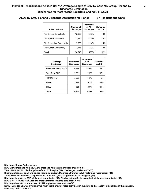# **ALOS by CMG Tier and Discharge Destination for Florida 57 Hospitals and Units**

| <b>CMG Tier Level</b>      | Number of<br><b>Discharges</b> | Proportion<br>of All<br><b>Discharges</b> | <b>Statewide</b><br><b>ALOS</b> |
|----------------------------|--------------------------------|-------------------------------------------|---------------------------------|
| Tier D, Low Comorbidity    | 12.929                         | 42.2%                                     | 13.0                            |
| Tier A, No Comorbidity     | 11.510                         | 37.6%                                     | 122                             |
| Tier C, Medium Comorbidity | 3.786                          | 12.4%                                     | 14.2                            |
| Tier B, High Comorbidity   | 2.415                          | 7.9%                                      | 13.9                            |
| Total                      | 30,640                         | 100%                                      | 12.9                            |

| <b>Discharge</b><br><b>Destination</b> | Number of<br><b>Discharges</b> | Proportion<br>of All<br><b>Discharges</b> | <b>Statewide</b><br><b>ALOS</b> |
|----------------------------------------|--------------------------------|-------------------------------------------|---------------------------------|
| Home with Home Health                  | 19.856                         | 64.8%                                     | 13.3                            |
| Transfer to SNF                        | 3.851                          | 12.6%                                     | 16.1                            |
| Transfer to ST                         | 3,356                          | 11.0%                                     | 8.7                             |
| Home                                   | 2.799                          | 9.1%                                      | 11.6                            |
| Other                                  | 778                            | 2.5%                                      | 10.4                            |
| <b>Total</b>                           | 30.640                         | 100%                                      | 12.9                            |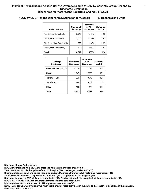# **ALOS by CMG Tier and Discharge Destination for Georgia 29 Hospitals and Units**

| <b>CMG Tier Level</b>      | Number of<br><b>Discharges</b> | Proportion<br>of All<br><b>Discharges</b> | <b>Statewide</b><br><b>ALOS</b> |
|----------------------------|--------------------------------|-------------------------------------------|---------------------------------|
| Tier D, Low Comorbidity    | 3.946                          | 45.8%                                     | 12.6                            |
| Tier A, No Comorbidity     | 3.060                          | 35.5%                                     | 12.1                            |
| Tier C, Medium Comorbidity | 809                            | 9.4%                                      | 13.7                            |
| Tier B, High Comorbidity   | 797                            | 9.3%                                      | 13.7                            |
| Total                      | 8,612                          | 100%                                      | 12.6                            |

| <b>Discharge</b><br><b>Destination</b> | Number of<br><b>Discharges</b> | Proportion<br>of All<br><b>Discharges</b> | <b>Statewide</b><br><b>ALOS</b> |
|----------------------------------------|--------------------------------|-------------------------------------------|---------------------------------|
| Home with Home Health                  | 5.274                          | 61.2%                                     | 12.8                            |
| Home                                   | 1.543                          | 17.9%                                     | 12.1                            |
| Transfer to SNF                        | 836                            | 9.7%                                      | 16.7                            |
| Transfer to ST                         | 799                            | 9.3%                                      | 8.5                             |
| Other                                  | 160                            | 1.9%                                      | 10.1                            |
| <b>Total</b>                           | 8,612                          | 100%                                      | 12.6                            |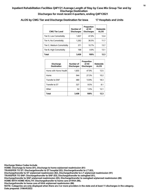# **ALOS by CMG Tier and Discharge Destination for Iowa 17 Hospitals and Units**

| <b>CMG Tier Level</b>      | Number of<br><b>Discharges</b> | Proportion<br>of All<br><b>Discharges</b> | Statewide<br><b>ALOS</b> |
|----------------------------|--------------------------------|-------------------------------------------|--------------------------|
| Tier D, Low Comorbidity    | 1,657                          | 47.9%                                     | 12.4                     |
| Tier A, No Comorbidity     | 1.262                          | 36.5%                                     | 11.7                     |
| Tier C, Medium Comorbidity | 371                            | 10.7%                                     | 13.7                     |
| Tier B, High Comorbidity   | 168                            | 4.9%                                      | 13.1                     |
| <b>Total</b>               | 3.458                          | 100%                                      | 12.3                     |

| <b>Discharge</b><br><b>Destination</b> | Number of<br><b>Discharges</b> | Proportion<br>of All<br><b>Discharges</b> | <b>Statewide</b><br><b>ALOS</b> |
|----------------------------------------|--------------------------------|-------------------------------------------|---------------------------------|
| Home with Home Health                  | 1,655                          | 47.9%                                     | 12.5                            |
| Home                                   | 944                            | 27.3%                                     | 10.2                            |
| Transfer to SNF                        | 480                            | 13.9%                                     | 18.3                            |
| Transfer to ST                         | 327                            | 9.5%                                      | 8.1                             |
| Other                                  | 52                             | 1.5%                                      | 12.1                            |
| <b>Total</b>                           | 3.458                          | 100%                                      | 12.3                            |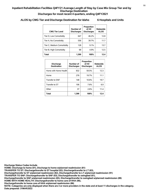# **ALOS by CMG Tier and Discharge Destination for Idaho 6 Hospitals and Units**

| <b>CMG Tier Level</b>      | Number of<br><b>Discharges</b> | Proportion<br>of All<br><b>Discharges</b> | Statewide<br><b>ALOS</b> |
|----------------------------|--------------------------------|-------------------------------------------|--------------------------|
| Tier D, Low Comorbidity    | 647                            | 46.2%                                     | 12.8                     |
| Tier A, No Comorbidity     | 556                            | 39.7%                                     | 11.7                     |
| Tier C, Medium Comorbidity | 128                            | 9.1%                                      | 13.7                     |
| Tier B, High Comorbidity   | 68                             | 4.9%                                      | 12.5                     |
| Total                      | 1,399                          | 100%                                      | 12.4                     |

| <b>Discharge</b><br><b>Destination</b> | Number of<br><b>Discharges</b> | Proportion<br>of All<br><b>Discharges</b> | <b>Statewide</b><br><b>ALOS</b> |
|----------------------------------------|--------------------------------|-------------------------------------------|---------------------------------|
| Home with Home Health                  | 832                            | 59.5%                                     | 12.3                            |
| Home                                   | 276                            | 19.7%                                     | 11.1                            |
| Transfer to SNF                        | 148                            | 10.6%                                     | 19.7                            |
| Transfer to ST                         | 106                            | 7.6%                                      | 6.9                             |
| Other                                  | 37                             | 2.6%                                      | 11.4                            |
| <b>Total</b>                           | 1.399                          | 100%                                      | 12.4                            |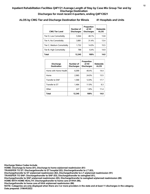# **ALOS by CMG Tier and Discharge Destination for Illinois 41 Hospitals and Units**

| <b>CMG Tier Level</b>      | Number of<br><b>Discharges</b> | Proportion<br>of All<br><b>Discharges</b> | <b>Statewide</b><br><b>ALOS</b> |
|----------------------------|--------------------------------|-------------------------------------------|---------------------------------|
| Tier D, Low Comorbidity    | 5.944                          | 48.1%                                     | 13.8                            |
| Tier A, No Comorbidity     | 3.881                          | 31.4%                                     | 13.4                            |
| Tier C, Medium Comorbidity | 1,732                          | 14.0%                                     | 15.5                            |
| Tier B, High Comorbidity   | 788                            | 64%                                       | 14.9                            |
| Total                      | 12.345                         | 100%                                      | 14.0                            |

| <b>Discharge</b><br><b>Destination</b> | Number of<br><b>Discharges</b> | Proportion<br>of All<br><b>Discharges</b> | <b>Statewide</b><br><b>ALOS</b> |
|----------------------------------------|--------------------------------|-------------------------------------------|---------------------------------|
| Home with Home Health                  | 6.099                          | 49.4%                                     | 14.4                            |
| Home                                   | 2.965                          | 24.0%                                     | 13.5                            |
| Transfer to SNF                        | 1.590                          | 12.9%                                     | 17.7                            |
| Transfer to ST                         | 1.464                          | 11.9%                                     | 9.3                             |
| Other                                  | 227                            | 1.8%                                      | 11.4                            |
| <b>Total</b>                           | 12.345                         | 100%                                      | 14.0                            |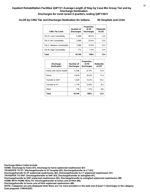# **ALOS by CMG Tier and Discharge Destination for Indiana 36 Hospitals and Units**

| <b>CMG Tier Level</b>      | Number of<br><b>Discharges</b> | Proportion<br>of All<br><b>Discharges</b> | <b>Statewide</b><br><b>ALOS</b> |
|----------------------------|--------------------------------|-------------------------------------------|---------------------------------|
| Tier D, Low Comorbidity    | 5.288                          | 49.2%                                     | 12.4                            |
| Tier A, No Comorbidity     | 3.588                          | 33.4%                                     | 12.0                            |
| Tier C, Medium Comorbidity | 1.099                          | 10.2%                                     | 13.4                            |
| Tier B, High Comorbidity   | 774                            | 72%                                       | 13.4                            |
| Total                      | 10.749                         | 100%                                      | 12.4                            |

| <b>Discharge</b><br><b>Destination</b> | Number of<br><b>Discharges</b> | Proportion<br>of All<br><b>Discharges</b> | <b>Statewide</b><br><b>ALOS</b> |
|----------------------------------------|--------------------------------|-------------------------------------------|---------------------------------|
| Home with Home Health                  | 5,108                          | 47.5%                                     | 12.9                            |
| Home                                   | 2.816                          | 26.2%                                     | 11.4                            |
| Transfer to SNF                        | 1.529                          | 14.2%                                     | 16.2                            |
| Transfer to ST                         | 1.118                          | 10.4%                                     | 8.2                             |
| Other                                  | 178                            | 1.7%                                      | 9.6                             |
| <b>Total</b>                           | 10.749                         | 100%                                      | 12.4                            |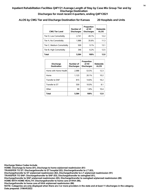# **ALOS by CMG Tier and Discharge Destination for Kansas 20 Hospitals and Units**

| <b>CMG Tier Level</b>      | Number of<br><b>Discharges</b> | Proportion<br>of All<br><b>Discharges</b> | Statewide<br><b>ALOS</b> |
|----------------------------|--------------------------------|-------------------------------------------|--------------------------|
| Tier D, Low Comorbidity    | 2.741                          | 49.1%                                     | 12.2                     |
| Tier A, No Comorbidity     | 1.988                          | 35.6%                                     | 11.3                     |
| Tier C, Medium Comorbidity | 509                            | 9.1%                                      | 13.1                     |
| Tier B, High Comorbidity   | 346                            | 62%                                       | 12.5                     |
| Total                      | 5.584                          | 100%                                      | 12.0                     |

| <b>Discharge</b><br><b>Destination</b> | Number of<br><b>Discharges</b> | Proportion<br>of All<br><b>Discharges</b> | <b>Statewide</b><br><b>ALOS</b> |
|----------------------------------------|--------------------------------|-------------------------------------------|---------------------------------|
| Home with Home Health                  | 2,988                          | 53.5%                                     | 12.3                            |
| Home                                   | 1,123                          | 20.1%                                     | 10.2                            |
| Transfer to SNF                        | 815                            | 14.6%                                     | 16.2                            |
| Transfer to ST                         | 559                            | 10.0%                                     | 8.1                             |
| Other                                  | 99                             | 1.8%                                      | 10.4                            |
| Total                                  | 5.584                          | 100%                                      | 12.0                            |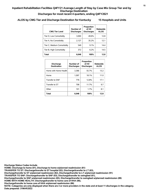# **ALOS by CMG Tier and Discharge Destination for Kentucky 15 Hospitals and Units**

| <b>CMG Tier Level</b>      | Number of<br><b>Discharges</b> | Proportion<br>of All<br><b>Discharges</b> | <b>Statewide</b><br><b>ALOS</b> |
|----------------------------|--------------------------------|-------------------------------------------|---------------------------------|
| Tier D, Low Comorbidity    | 3.000                          | 49.6%                                     | 12.8                            |
| Tier A, No Comorbidity     | 2.127                          | 35.2%                                     | 12.1                            |
| Tier C, Medium Comorbidity | 549                            | 9.1%                                      | 14.4                            |
| Tier B, High Comorbidity   | 372                            | 6.2%                                      | 14.5                            |
| Total                      | 6.048                          | 100%                                      | 12.8                            |

| <b>Discharge</b><br><b>Destination</b> | Number of<br><b>Discharges</b> | Proportion<br>of All<br><b>Discharges</b> | <b>Statewide</b><br><b>ALOS</b> |
|----------------------------------------|--------------------------------|-------------------------------------------|---------------------------------|
| Home with Home Health                  | 3,366                          | 55.7%                                     | 13.2                            |
| Home                                   | 1.097                          | 18.1%                                     | 11.0                            |
| Transfer to SNF                        | 776                            | 12.8%                                     | 17.1                            |
| Transfer to ST                         | 708                            | 11.7%                                     | 9.7                             |
| Other                                  | 101                            | 1.7%                                      | 8.1                             |
| <b>Total</b>                           | 6.048                          | 100%                                      | 12.8                            |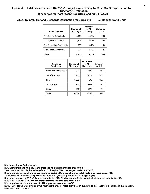# **ALOS by CMG Tier and Discharge Destination for Louisiana 55 Hospitals and Units**

| <b>CMG Tier Level</b>      | Number of<br><b>Discharges</b> | Proportion<br>of All<br><b>Discharges</b> | <b>Statewide</b><br><b>ALOS</b> |
|----------------------------|--------------------------------|-------------------------------------------|---------------------------------|
| Tier D, Low Comorbidity    | 4.310                          | 46.8%                                     | 13.0                            |
| Tier A, No Comorbidity     | 3,395                          | 36.9%                                     | 12.5                            |
| Tier C. Medium Comorbidity | 938                            | 10.2%                                     | 14.0                            |
| Tier B, High Comorbidity   | 562                            | 6.1%                                      | 14.2                            |
| Total                      | 9.205                          | 100%                                      | 13.0                            |

| <b>Discharge</b><br><b>Destination</b> | Number of<br><b>Discharges</b> | Proportion<br>of All<br><b>Discharges</b> | <b>Statewide</b><br><b>ALOS</b> |
|----------------------------------------|--------------------------------|-------------------------------------------|---------------------------------|
| Home with Home Health                  | 4,927                          | 53.5%                                     | 13.4                            |
| Transfer to SNF                        | 1.704                          | 18.5%                                     | 15.5                            |
| Home                                   | 1.395                          | 15.2%                                     | 12.2                            |
| Transfer to ST                         | 899                            | 9.8%                                      | 8.7                             |
| Other                                  | 280                            | 3.0%                                      | 9.8                             |
| <b>Total</b>                           | 9.205                          | 100%                                      | 13.0                            |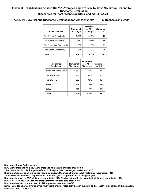# **ALOS by CMG Tier and Discharge Destination for Massachusetts 12 Hospitals and Units**

| <b>CMG Tier Level</b>      | Number of<br><b>Discharges</b> | Proportion<br>of All<br><b>Discharges</b> | <b>Statewide</b><br><b>ALOS</b> |
|----------------------------|--------------------------------|-------------------------------------------|---------------------------------|
| Tier D, Low Comorbidity    | 3.571                          | 44.1%                                     | 14.0                            |
| Tier A, No Comorbidity     | 3,182                          | 39.3%                                     | 12.6                            |
| Tier C, Medium Comorbidity | 1.039                          | 12.8%                                     | 15.2                            |
| Tier B, High Comorbidity   | 314                            | 3.9%                                      | 15.6                            |
| Total                      | 8.106                          | 100%                                      | 13.7                            |

| <b>Discharge</b><br><b>Destination</b> | Number of<br><b>Discharges</b> | Proportion<br>of All<br><b>Discharges</b> | <b>Statewide</b><br><b>ALOS</b> |
|----------------------------------------|--------------------------------|-------------------------------------------|---------------------------------|
| Home with Home Health                  | 5,350                          | 66.0%                                     | 13.4                            |
| Transfer to SNF                        | 1.248                          | 15.4%                                     | 18.5                            |
| Transfer to ST                         | 803                            | 9.9%                                      | 10.1                            |
| Home                                   | 598                            | 7.4%                                      | 11.9                            |
| Other                                  | 107                            | 1.3%                                      | 10.2                            |
| Total                                  | 8.106                          | 100%                                      | 13.7                            |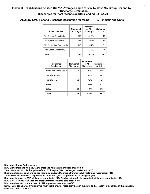# **ALOS by CMG Tier and Discharge Destination for Maine 5 Hospitals and Units**

| <b>CMG Tier Level</b>      | Number of<br><b>Discharges</b> | Proportion<br>of All<br><b>Discharges</b> | <b>Statewide</b><br><b>ALOS</b> |
|----------------------------|--------------------------------|-------------------------------------------|---------------------------------|
| Tier D, Low Comorbidity    | 470                            | 42.8%                                     | 13.9                            |
| Tier A, No Comorbidity     | 433                            | 39.4%                                     | 12.4                            |
| Tier C, Medium Comorbidity | 118                            | 10.7%                                     | 17.1                            |
| Tier B, High Comorbidity   | 77                             | 7.0%                                      | 15.0                            |
| <b>Total</b>               | 1.098                          | 100%                                      | 13.7                            |

| <b>Discharge</b><br><b>Destination</b> | Number of<br><b>Discharges</b> | Proportion<br>of All<br><b>Discharges</b> | <b>Statewide</b><br><b>ALOS</b> |
|----------------------------------------|--------------------------------|-------------------------------------------|---------------------------------|
| Home with Home Health                  | 776                            | 70.7%                                     | 13.0                            |
| Transfer to SNF                        | 151                            | 13.8%                                     | 21.3                            |
| Transfer to ST                         | 79                             | 7.2%                                      | 8.6                             |
| Home                                   | 72                             | 6.6%                                      | 10.2                            |
| Other                                  | 20                             | 1.8%                                      | 16.5                            |
| <b>Total</b>                           | 1.098                          | 100%                                      | 13.7                            |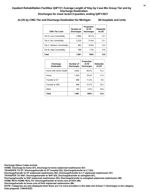# **ALOS by CMG Tier and Discharge Destination for Michigan 38 Hospitals and Units**

| <b>CMG Tier Level</b>      | Number of<br><b>Discharges</b> | Proportion<br>of All<br><b>Discharges</b> | <b>Statewide</b><br><b>ALOS</b> |
|----------------------------|--------------------------------|-------------------------------------------|---------------------------------|
| Tier D, Low Comorbidity    | 3,996                          | 50.1%                                     | 12.7                            |
| Tier A, No Comorbidity     | 2.524                          | 31.6%                                     | 12.1                            |
| Tier C, Medium Comorbidity | 863                            | 10.8%                                     | 13.4                            |
| Tier B, High Comorbidity   | 598                            | 7.5%                                      | 13.6                            |
| Total                      | 7.981                          | 100%                                      | 12.6                            |

| <b>Discharge</b><br><b>Destination</b> | Number of<br><b>Discharges</b> | Proportion<br>of All<br><b>Discharges</b> | <b>Statewide</b><br><b>ALOS</b> |
|----------------------------------------|--------------------------------|-------------------------------------------|---------------------------------|
| Home with Home Health                  | 4.642                          | 58.2%                                     | 13.2                            |
| Home                                   | 1.454                          | 18.2%                                     | 11.4                            |
| Transfer to ST                         | 896                            | 11.2%                                     | 9.0                             |
| Transfer to SNF                        | 806                            | 10.1%                                     | 16.3                            |
| Other                                  | 183                            | 2.3%                                      | 10.6                            |
| <b>Total</b>                           | 7,981                          | 100%                                      | 12.6                            |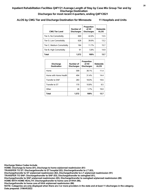# **ALOS by CMG Tier and Discharge Destination for Minnesota 11 Hospitals and Units**

| <b>CMG Tier Level</b>      | Number of<br><b>Discharges</b> | Proportion<br>of All<br><b>Discharges</b> | Statewide<br><b>ALOS</b> |
|----------------------------|--------------------------------|-------------------------------------------|--------------------------|
| Tier A, No Comorbidity     | 669                            | 42.6%                                     | 13.5                     |
| Tier D, Low Comorbidity    | 628                            | 39.9%                                     | 13.2                     |
| Tier C, Medium Comorbidity | 184                            | 11.7%                                     | 15.7                     |
| Tier B, High Comorbidity   | 91                             | 5.8%                                      | 14.9                     |
| Total                      | 1.572                          | 100%                                      | 13.7                     |

| <b>Discharge</b><br><b>Destination</b> | Number of<br><b>Discharges</b> | Proportion<br>of All<br><b>Discharges</b> | <b>Statewide</b><br><b>ALOS</b> |
|----------------------------------------|--------------------------------|-------------------------------------------|---------------------------------|
| Home                                   | 599                            | 38.1%                                     | 11.4                            |
| Home with Home Health                  | 494                            | 31.4%                                     | 14.4                            |
| Transfer to SNF                        | 283                            | 18.0%                                     | 19.6                            |
| Transfer to ST                         | 170                            | 10.8%                                     | 9.5                             |
| Other                                  | 26                             | 1.7%                                      | 19.0                            |
| <b>Total</b>                           | 1.572                          | 100%                                      | 13.7                            |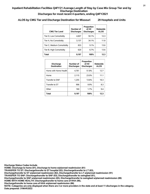# **ALOS by CMG Tier and Discharge Destination for Missouri 29 Hospitals and Units**

| <b>CMG Tier Level</b>      | Number of<br><b>Discharges</b> | Proportion<br>of All<br><b>Discharges</b> | Statewide<br><b>ALOS</b> |
|----------------------------|--------------------------------|-------------------------------------------|--------------------------|
| Tier D, Low Comorbidity    | 4.607                          | 50.1%                                     | 12.3                     |
| Tier A, No Comorbidity     | 3,137                          | 34.1%                                     | 11.8                     |
| Tier C, Medium Comorbidity | 833                            | 9.1%                                      | 13.6                     |
| Tier B, High Comorbidity   | 620                            | 6.7%                                      | 13.6                     |
| Total                      | 9.197                          | 100%                                      | 12.3                     |

| <b>Discharge</b><br><b>Destination</b> | Number of<br><b>Discharges</b> | Proportion<br>of All<br><b>Discharges</b> | <b>Statewide</b><br><b>ALOS</b> |
|----------------------------------------|--------------------------------|-------------------------------------------|---------------------------------|
| Home with Home Health                  | 4.761                          | 51.8%                                     | 12.7                            |
| Home                                   | 2.115                          | 23.0%                                     | 11.1                            |
| Transfer to SNF                        | 1.255                          | 13.6%                                     | 16.3                            |
| Transfer to ST                         | 906                            | 9.9%                                      | 8.3                             |
| Other                                  | 160                            | 1.7%                                      | 9.4                             |
| <b>Total</b>                           | 9,197                          | 100%                                      | 12.3                            |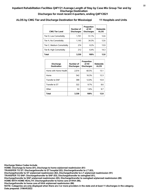# **ALOS by CMG Tier and Discharge Destination for Mississippi 11 Hospitals and Units**

| <b>CMG Tier Level</b>      | Number of<br><b>Discharges</b> | Proportion<br>of All<br><b>Discharges</b> | <b>Statewide</b><br><b>ALOS</b> |
|----------------------------|--------------------------------|-------------------------------------------|---------------------------------|
| Tier D, Low Comorbidity    | 1.701                          | 51.1%                                     | 12.6                            |
| Tier A, No Comorbidity     | 1.143                          | 34.3%                                     | 12.6                            |
| Tier C, Medium Comorbidity | 274                            | 8.2%                                      | 13.9                            |
| Tier B, High Comorbidity   | 212                            | 64%                                       | 14.3                            |
| Total                      | 3.330                          | 100%                                      | 12.8                            |

| <b>Discharge</b><br><b>Destination</b> | Number of<br><b>Discharges</b> | Proportion<br>of All<br><b>Discharges</b> | <b>Statewide</b><br><b>ALOS</b> |
|----------------------------------------|--------------------------------|-------------------------------------------|---------------------------------|
| Home with Home Health                  | 2.014                          | 60.5%                                     | 13.1                            |
| Home                                   | 542                            | 16.3%                                     | 12.3                            |
| Transfer to SNF                        | 399                            | 12.0%                                     | 15.9                            |
| Transfer to ST                         | 322                            | 9.7%                                      | 8.6                             |
| Other                                  | 53                             | 1.6%                                      | 9.7                             |
| <b>Total</b>                           | 3,330                          | 100%                                      | 12.8                            |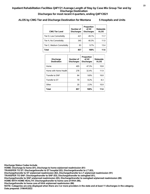# **ALOS by CMG Tier and Discharge Destination for Montana 5 Hospitals and Units**

| <b>CMG Tier Level</b>      | Number of<br><b>Discharges</b> | Proportion<br>of All<br><b>Discharges</b> | <b>Statewide</b><br><b>ALOS</b> |
|----------------------------|--------------------------------|-------------------------------------------|---------------------------------|
| Tier D, Low Comorbidity    | 421                            | 49.1%                                     | 11.7                            |
| Tier A, No Comorbidity     | 345                            | 40.3%                                     | 11.0                            |
| Tier C, Medium Comorbidity | 83                             | $9.7\%$                                   | 13.4                            |
| Total                      | 857                            | 100%                                      | 11.6                            |

| <b>Discharge</b><br><b>Destination</b> | Number of<br><b>Discharges</b> | Proportion<br>of All<br><b>Discharges</b> | <b>Statewide</b><br><b>ALOS</b> |
|----------------------------------------|--------------------------------|-------------------------------------------|---------------------------------|
| Home                                   | 405                            | 47.3%                                     | 10.8                            |
| Home with Home Health                  | 278                            | 32.4%                                     | 11.9                            |
| Transfer to SNF                        | 84                             | 9.8%                                      | 16.8                            |
| Transfer to ST                         | 70                             | 8.2%                                      | 8.3                             |
| Other                                  | 20                             | 2.3%                                      | 10.9                            |
| <b>Total</b>                           | 857                            | 100%                                      | 11.6                            |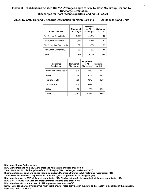# **ALOS by CMG Tier and Discharge Destination for North Carolina 21 Hospitals and Units**

| <b>CMG Tier Level</b>      | Number of<br><b>Discharges</b> | Proportion<br>of All<br><b>Discharges</b> | <b>Statewide</b><br><b>ALOS</b> |
|----------------------------|--------------------------------|-------------------------------------------|---------------------------------|
| Tier D, Low Comorbidity    | 3,343                          | 46.1%                                     | 13.8                            |
| Tier A, No Comorbidity     | 2.667                          | 36.8%                                     | 13.3                            |
| Tier C, Medium Comorbidity | 691                            | 9.5%                                      | 15.3                            |
| Tier B, High Comorbidity   | 551                            | 7.6%                                      | 14.9                            |
| Total                      | 7.252                          | 100%                                      | 13.9                            |

| <b>Discharge</b><br><b>Destination</b> | Number of<br><b>Discharges</b> | Proportion<br>of All<br><b>Discharges</b> | <b>Statewide</b><br><b>ALOS</b> |
|----------------------------------------|--------------------------------|-------------------------------------------|---------------------------------|
| Home with Home Health                  | 3,876                          | 53.4%                                     | 14.4                            |
| Home                                   | 1.849                          | 25.5%                                     | 12.3                            |
| Transfer to SNF                        | 766                            | 10.6%                                     | 18.9                            |
| Transfer to ST                         | 679                            | 9.4%                                      | 9.7                             |
| Other                                  | 82                             | 1.1%                                      | 12.0                            |
| <b>Total</b>                           | 7.252                          | 100%                                      | 13.9                            |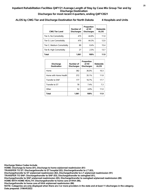# **ALOS by CMG Tier and Discharge Destination for North Dakota 4 Hospitals and Units**

| <b>CMG Tier Level</b>      | Number of<br><b>Discharges</b> | Proportion<br>of All<br><b>Discharges</b> | <b>Statewide</b><br><b>ALOS</b> |
|----------------------------|--------------------------------|-------------------------------------------|---------------------------------|
| Tier A, No Comorbidity     | 475                            | 44.8%                                     | 11.0                            |
| Tier D, Low Comorbidity    | 470                            | 44.3%                                     | 12.0                            |
| Tier C, Medium Comorbidity | 89                             | 8.4%                                      | 15.4                            |
| Tier B, High Comorbidity   | 27                             | 2.5%                                      | 13.7                            |
| Total                      | 1.061                          | 100%                                      | 11.9                            |

| <b>Discharge</b><br><b>Destination</b> | Number of<br><b>Discharges</b> | Proportion<br>of All<br><b>Discharges</b> | <b>Statewide</b><br><b>ALOS</b> |
|----------------------------------------|--------------------------------|-------------------------------------------|---------------------------------|
| Home                                   | 382                            | 36.0%                                     | 10.3                            |
| Home with Home Health                  | 372                            | 35.1%                                     | 11.8                            |
| Transfer to SNF                        | 177                            | 16.7%                                     | 17.7                            |
| Transfer to ST                         | 78                             | 7.4%                                      | 7.3                             |
| Other                                  | 52                             | 4.9%                                      | 11.0                            |
| <b>Total</b>                           | 1.061                          | 100%                                      | 11.9                            |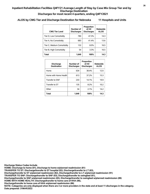# **ALOS by CMG Tier and Discharge Destination for Nebraska 11 Hospitals and Units**

| <b>CMG Tier Level</b>      | Number of<br><b>Discharges</b> | Proportion<br>of All<br><b>Discharges</b> | <b>Statewide</b><br><b>ALOS</b> |
|----------------------------|--------------------------------|-------------------------------------------|---------------------------------|
| Tier D, Low Comorbidity    | 780                            | 47.3%                                     | 14.3                            |
| Tier A, No Comorbidity     | 683                            | 41.4%                                     | 13.6                            |
| Tier C, Medium Comorbidity | 132                            | 8.0%                                      | 16.5                            |
| Tier B, High Comorbidity   | 54                             | 3.3%                                      | 16.5                            |
| Total                      | 1.649                          | 100%                                      | 14.3                            |

| <b>Discharge</b><br><b>Destination</b> | Number of<br><b>Discharges</b> | Proportion<br>of All<br><b>Discharges</b> | <b>Statewide</b><br><b>ALOS</b> |
|----------------------------------------|--------------------------------|-------------------------------------------|---------------------------------|
| Home                                   | 634                            | 38.4%                                     | 12.0                            |
| Home with Home Health                  | 613                            | 37.2%                                     | 15.3                            |
| Transfer to SNF                        | 233                            | 14.1%                                     | 19.9                            |
| Transfer to ST                         | 135                            | 8.2%                                      | 10.2                            |
| Other                                  | 34                             | 2.1%                                      | 14.2                            |
| <b>Total</b>                           | 1.649                          | 100%                                      | 14.3                            |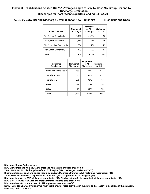# **ALOS by CMG Tier and Discharge Destination for New Hampshire 4 Hospitals and Units**

| <b>CMG Tier Level</b>      | Number of<br><b>Discharges</b> | Proportion<br>of All<br><b>Discharges</b> | <b>Statewide</b><br><b>ALOS</b> |
|----------------------------|--------------------------------|-------------------------------------------|---------------------------------|
| Tier D, Low Comorbidity    | 1,427                          | 46.0%                                     | 12.6                            |
| Tier A, No Comorbidity     | 1.181                          | 38.1%                                     | 11.6                            |
| Tier C, Medium Comorbidity | 364                            | 11.7%                                     | 14.3                            |
| Tier B, High Comorbidity   | 129                            | 4.2%                                      | 13.7                            |
| <b>Total</b>               | 3.101                          | 100%                                      | 12.5                            |

| <b>Discharge</b><br><b>Destination</b> | Number of<br><b>Discharges</b> | Proportion<br>of All<br><b>Discharges</b> | <b>Statewide</b><br><b>ALOS</b> |
|----------------------------------------|--------------------------------|-------------------------------------------|---------------------------------|
| Home with Home Health                  | 2,133                          | 68.8%                                     | 12.4                            |
| Transfer to SNF                        | 522                            | 16.8%                                     | 16.2                            |
| Transfer to ST                         | 278                            | 9.0%                                      | 7.7                             |
| Home                                   | 145                            | 4.7%                                      | 9.9                             |
| Other                                  | 23                             | 0.7%                                      | 8.3                             |
| <b>Total</b>                           | 3,101                          | 100%                                      | 12.5                            |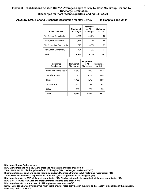# **ALOS by CMG Tier and Discharge Destination for New Jersey 15 Hospitals and Units**

| <b>CMG Tier Level</b>      | Number of<br><b>Discharges</b> | Proportion<br>of All<br><b>Discharges</b> | <b>Statewide</b><br><b>ALOS</b> |
|----------------------------|--------------------------------|-------------------------------------------|---------------------------------|
| Tier D, Low Comorbidity    | 4.751                          | 46.7%                                     | 13.8                            |
| Tier A, No Comorbidity     | 3.868                          | 38.0%                                     | 12.9                            |
| Tier C, Medium Comorbidity | 1.070                          | 10.5%                                     | 15.5                            |
| Tier B, High Comorbidity   | 494                            | 4.9%                                      | 15.1                            |
| Total                      | 10.183                         | 100%                                      | 13.7                            |

| <b>Discharge</b><br><b>Destination</b> | Number of<br><b>Discharges</b> | Proportion<br>of All<br><b>Discharges</b> | <b>Statewide</b><br><b>ALOS</b> |
|----------------------------------------|--------------------------------|-------------------------------------------|---------------------------------|
| Home with Home Health                  | 5.849                          | 57.4%                                     | 14.2                            |
| Transfer to SNF                        | 1.575                          | 15.5%                                     | 17.8                            |
| Home                                   | 1.455                          | 14.3%                                     | 11.9                            |
| Transfer to ST                         | 1.191                          | 11.7%                                     | 8.5                             |
| Other                                  | 113                            | 1.1%                                      | 9.3                             |
| Total                                  | 10,183                         | 100%                                      | 13.7                            |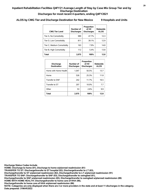# **ALOS by CMG Tier and Discharge Destination for New Mexico 9 Hospitals and Units**

| <b>CMG Tier Level</b>      | Number of<br><b>Discharges</b> | Proportion<br>of All<br><b>Discharges</b> | <b>Statewide</b><br><b>ALOS</b> |
|----------------------------|--------------------------------|-------------------------------------------|---------------------------------|
| Tier A, No Comorbidity     | 989                            | 47.7%                                     | 12.3                            |
| Tier D, Low Comorbidity    | 811                            | 39.1%                                     | 12.9                            |
| Tier C, Medium Comorbidity | 163                            | 7.9%                                      | 14.8                            |
| Tier B, High Comorbidity   | 112                            | 5.4%                                      | 13.8                            |
| Total                      | 2.075                          | 100%                                      | 12.8                            |

| <b>Discharge</b><br><b>Destination</b> | Number of<br><b>Discharges</b> | Proportion<br>of All<br><b>Discharges</b> | <b>Statewide</b><br><b>ALOS</b> |
|----------------------------------------|--------------------------------|-------------------------------------------|---------------------------------|
| Home with Home Health                  | 1.047                          | 50.5%                                     | 13.7                            |
| Home                                   | 526                            | 25.3%                                     | 11.8                            |
| Transfer to SNF                        | 242                            | 11.7%                                     | 16.5                            |
| Transfer to ST                         | 207                            | 10.0%                                     | 7.7                             |
| Other                                  | 53                             | 2.6%                                      | 9.9                             |
| <b>Total</b>                           | 2,075                          | 100%                                      | 12.8                            |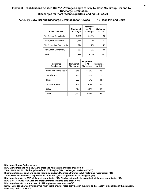# **ALOS by CMG Tier and Discharge Destination for Nevada 13 Hospitals and Units**

| <b>CMG Tier Level</b>      | Number of<br><b>Discharges</b> | Proportion<br>of All<br><b>Discharges</b> | <b>Statewide</b><br><b>ALOS</b> |
|----------------------------|--------------------------------|-------------------------------------------|---------------------------------|
| Tier D, Low Comorbidity    | 3.981                          | 50.3%                                     | 12.8                            |
| Tier A, No Comorbidity     | 2.455                          | 31.0%                                     | 11.7                            |
| Tier C, Medium Comorbidity | 924                            | 11.7%                                     | 14.5                            |
| Tier B, High Comorbidity   | 552                            | 7.0%                                      | 13.9                            |
| Total                      | 7.912                          | 100%                                      | 12.7                            |

| <b>Discharge</b><br><b>Destination</b> | Number of<br><b>Discharges</b> | Proportion<br>of All<br><b>Discharges</b> | <b>Statewide</b><br><b>ALOS</b> |
|----------------------------------------|--------------------------------|-------------------------------------------|---------------------------------|
| Home with Home Health                  | 4.848                          | 61.3%                                     | 13.4                            |
| Transfer to ST                         | 967                            | 12.2%                                     | 8.7                             |
| Home                                   | 923                            | 11.7%                                     | 11.7                            |
| Transfer to SNF                        | 800                            | 10.1%                                     | 16.2                            |
| Other                                  | 374                            | 4.7%                                      | 10.1                            |
| <b>Total</b>                           | 7.912                          | 100%                                      | 12.7                            |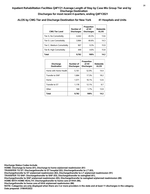# **ALOS by CMG Tier and Discharge Destination for New York 41 Hospitals and Units**

| <b>CMG Tier Level</b>      | Number of<br><b>Discharges</b> | Proportion<br>of All<br><b>Discharges</b> | <b>Statewide</b><br><b>ALOS</b> |
|----------------------------|--------------------------------|-------------------------------------------|---------------------------------|
| Tier A, No Comorbidity     | 4.442                          | 45.5%                                     | 13.6                            |
| Tier D, Low Comorbidity    | 3.964                          | 40.6%                                     | 14.3                            |
| Tier C, Medium Comorbidity | 907                            | 9.3%                                      | 15.9                            |
| Tier B, High Comorbidity   | 449                            | 4.6%                                      | 15.8                            |
| Total                      | 9.762                          | 100%                                      | 14.2                            |

| <b>Discharge</b><br><b>Destination</b> | Number of<br><b>Discharges</b> | Proportion<br>of All<br><b>Discharges</b> | <b>Statewide</b><br><b>ALOS</b> |
|----------------------------------------|--------------------------------|-------------------------------------------|---------------------------------|
| Home with Home Health                  | 5,161                          | 52.9%                                     | 14.4                            |
| Transfer to SNF                        | 1.684                          | 17.3%                                     | 18.2                            |
| Home                                   | 1.571                          | 16.1%                                     | 12.6                            |
| Transfer to ST                         | 1.178                          | 12.1%                                     | 9.7                             |
| Other                                  | 168                            | 1.7%                                      | 13.9                            |
| <b>Total</b>                           | 9.762                          | 100%                                      | 14.2                            |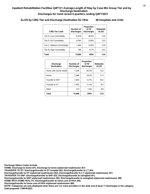# **ALOS by CMG Tier and Discharge Destination for Ohio 48 Hospitals and Units**

| <b>CMG Tier Level</b>      | Number of<br><b>Discharges</b> | Proportion<br>of All<br><b>Discharges</b> | <b>Statewide</b><br><b>ALOS</b> |
|----------------------------|--------------------------------|-------------------------------------------|---------------------------------|
| Tier D, Low Comorbidity    | 6.419                          | 49.4%                                     | 12.6                            |
| Tier A, No Comorbidity     | 4,393                          | 33.8%                                     | 12.0                            |
| Tier C, Medium Comorbidity | 1.404                          | 10.8%                                     | 13.8                            |
| Tier B, High Comorbidity   | 790                            | 6.1%                                      | 14.5                            |
| <b>Total</b>               | 13.006                         | 100%                                      | 12.6                            |

| <b>Discharge</b><br><b>Destination</b> | Number of<br><b>Discharges</b> | Proportion<br>of All<br><b>Discharges</b> | <b>Statewide</b><br><b>ALOS</b> |
|----------------------------------------|--------------------------------|-------------------------------------------|---------------------------------|
| Home with Home Health                  | 7,320                          | 56.3%                                     | 13.0                            |
| Home                                   | 2.366                          | 18.2%                                     | 11.5                            |
| Transfer to SNF                        | 1.654                          | 12.7%                                     | 16.5                            |
| Transfer to ST                         | 1.453                          | 11.2%                                     | 8.3                             |
| Other                                  | 213                            | 1.6%                                      | 9.8                             |
| <b>Total</b>                           | 13.006                         | 100%                                      | 12.6                            |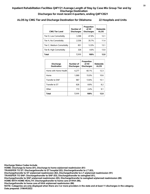# **ALOS by CMG Tier and Discharge Destination for Oklahoma 22 Hospitals and Units**

| <b>CMG Tier Level</b>      | Number of<br><b>Discharges</b> | Proportion<br>of All<br><b>Discharges</b> | Statewide<br><b>ALOS</b> |
|----------------------------|--------------------------------|-------------------------------------------|--------------------------|
| Tier D, Low Comorbidity    | 3,398                          | 47.8%                                     | 12.1                     |
| Tier A, No Comorbidity     | 2.536                          | 35.7%                                     | 11.4                     |
| Tier C, Medium Comorbidity | 851                            | 12.0%                                     | 13.1                     |
| Tier B, High Comorbidity   | 326                            | 4.6%                                      | 13.0                     |
| Total                      | 7,111                          | 100%                                      | 12.0                     |

| <b>Discharge</b><br><b>Destination</b> | Number of<br><b>Discharges</b> | Proportion<br>of All<br><b>Discharges</b> | <b>Statewide</b><br><b>ALOS</b> |
|----------------------------------------|--------------------------------|-------------------------------------------|---------------------------------|
| Home with Home Health                  | 4.277                          | 60.1%                                     | 12.3                            |
| Home                                   | 1,069                          | 15.0%                                     | 10.6                            |
| Transfer to SNF                        | 967                            | 13.6%                                     | 15.1                            |
| Transfer to ST                         | 626                            | 8.8%                                      | 8.2                             |
| Other                                  | 172                            | 2.4%                                      | 9.1                             |
| <b>Total</b>                           | 7,111                          | 100%                                      | 12.0                            |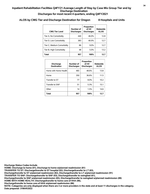# **ALOS by CMG Tier and Discharge Destination for Oregon 8 Hospitals and Units**

| <b>CMG Tier Level</b>      | Number of<br><b>Discharges</b> | Proportion<br>of All<br><b>Discharges</b> | Statewide<br><b>ALOS</b> |
|----------------------------|--------------------------------|-------------------------------------------|--------------------------|
| Tier A, No Comorbidity     | 440                            | 46.0%                                     | 12.8                     |
| Tier D, Low Comorbidity    | 383                            | 40.0%                                     | 12.7                     |
| Tier C, Medium Comorbidity | 86                             | $9.0\%$                                   | 127                      |
| Tier B, High Comorbidity   | 48                             | 5.0%                                      | 13.2                     |
| Total                      | 957                            | 100%                                      | 12.7                     |

| <b>Discharge</b><br><b>Destination</b> | Number of<br><b>Discharges</b> | Proportion<br>of All<br><b>Discharges</b> | <b>Statewide</b><br><b>ALOS</b> |
|----------------------------------------|--------------------------------|-------------------------------------------|---------------------------------|
| Home with Home Health                  | 465                            | 48.6%                                     | 13.8                            |
| Home                                   | 350                            | 36.6%                                     | 11.5                            |
| Transfer to ST                         | 77                             | 8.0%                                      | 10.2                            |
| Transfer to SNF                        | 51                             | 5.3%                                      | 15.1                            |
| Other                                  | 14                             | 1.5%                                      | 14.6                            |
| <b>Total</b>                           | 957                            | 100%                                      | 12.7                            |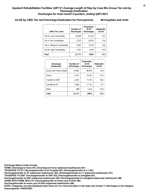# **ALOS by CMG Tier and Discharge Destination for Pennsylvania 68 Hospitals and Units**

| <b>CMG Tier Level</b>      | Number of<br><b>Discharges</b> | Proportion<br>of All<br><b>Discharges</b> | Statewide<br><b>ALOS</b> |
|----------------------------|--------------------------------|-------------------------------------------|--------------------------|
| Tier D, Low Comorbidity    | 10.000                         | 47.2%                                     | 13.2                     |
| Tier A, No Comorbidity     | 7.233                          | 34.2%                                     | 12.6                     |
| Tier C, Medium Comorbidity | 2,597                          | 12.3%                                     | 14.8                     |
| Tier B, High Comorbidity   | 1.341                          | 6.3%                                      | 14.9                     |
| Total                      | 21,171                         | 100%                                      | 13.3                     |

| <b>Discharge</b><br><b>Destination</b> | Number of<br><b>Discharges</b> | Proportion<br>of All<br><b>Discharges</b> | <b>Statewide</b><br><b>ALOS</b> |
|----------------------------------------|--------------------------------|-------------------------------------------|---------------------------------|
| Home with Home Health                  | 12,891                         | 60.9%                                     | 13.6                            |
| Home                                   | 3.231                          | 15.3%                                     | 12.0                            |
| Transfer to SNF                        | 2.401                          | 11.3%                                     | 18.2                            |
| Transfer to ST                         | 2.360                          | 11.1%                                     | 9.1                             |
| Other                                  | 288                            | 1.4%                                      | 10.6                            |
| Total                                  | 21,171                         | 100%                                      | 13.3                            |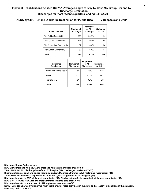# **ALOS by CMG Tier and Discharge Destination for Puerto Rico 7 Hospitals and Units**

| <b>CMG Tier Level</b>      | Number of<br><b>Discharges</b> | Proportion<br>of All<br><b>Discharges</b> | <b>Statewide</b><br><b>ALOS</b> |
|----------------------------|--------------------------------|-------------------------------------------|---------------------------------|
| Tier A, No Comorbidity     | 269                            | 54 0%                                     | 11.4                            |
| Tier D, Low Comorbidity    | 145                            | 29.1%                                     | 12.8                            |
| Tier C, Medium Comorbidity | 52                             | 10.4%                                     | 13.4                            |
| Tier B, High Comorbidity   | 32                             | 6.4%                                      | 11.1                            |
| Total                      | 498                            | 100%                                      | 12.0                            |

| <b>Discharge</b><br><b>Destination</b> | Number of<br><b>Discharges</b> | Proportion<br>of All<br><b>Discharges</b> | <b>Statewide</b><br><b>ALOS</b> |
|----------------------------------------|--------------------------------|-------------------------------------------|---------------------------------|
| Home with Home Health                  | 284                            | 57.0%                                     | 12.8                            |
| Home                                   | 155                            | 31.1%                                     | 12.1                            |
| Transfer to ST                         | 51                             | 10.2%                                     | 6.9                             |
| <b>Total</b>                           | 498                            | 100%                                      | 12.0                            |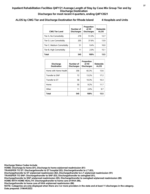# **ALOS by CMG Tier and Discharge Destination for Rhode Island 4 Hospitals and Units**

| <b>CMG Tier Level</b>      | Number of<br><b>Discharges</b> | Proportion<br>of All<br><b>Discharges</b> | <b>Statewide</b><br><b>ALOS</b> |
|----------------------------|--------------------------------|-------------------------------------------|---------------------------------|
| Tier A, No Comorbidity     | 278                            | 51.0%                                     | 12.7                            |
| Tier D, Low Comorbidity    | 205                            | 37.6%                                     | 13.9                            |
| Tier C, Medium Comorbidity | 51                             | 9.4%                                      | 16.0                            |
| Tier B, High Comorbidity   | 11                             | 2.0%                                      | 15.1                            |
| Total                      | 545                            | 100%                                      | 13.5                            |

| <b>Discharge</b><br><b>Destination</b> | Number of<br><b>Discharges</b> | Proportion<br>of All<br><b>Discharges</b> | <b>Statewide</b><br><b>ALOS</b> |
|----------------------------------------|--------------------------------|-------------------------------------------|---------------------------------|
| Home with Home Health                  | 356                            | 65.3%                                     | 13.6                            |
| Transfer to SNF                        | 72                             | 13.2%                                     | 17.2                            |
| Transfer to ST                         | 56                             | 10.3%                                     | 10.3                            |
| Home                                   | 50                             | 9.2%                                      | 11.7                            |
| Other                                  | 11                             | 2.0%                                      | 9.7                             |
| <b>Total</b>                           | 545                            | 100%                                      | 13.5                            |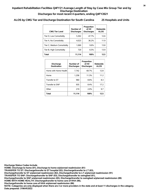# **ALOS by CMG Tier and Discharge Destination for South Carolina 25 Hospitals and Units**

| <b>CMG Tier Level</b>      | Number of<br><b>Discharges</b> | Proportion<br>of All<br><b>Discharges</b> | Statewide<br><b>ALOS</b> |
|----------------------------|--------------------------------|-------------------------------------------|--------------------------|
| Tier D, Low Comorbidity    | 5,302                          | 47.7%                                     | 12.6                     |
| Tier A, No Comorbidity     | 4,023                          | 36.2%                                     | 11.9                     |
| Tier C, Medium Comorbidity | 1,069                          | 9.6%                                      | 13.8                     |
| Tier B, High Comorbidity   | 720                            | 6.5%                                      | 13.9                     |
| Total                      | 11,114                         | 100%                                      | 12.5                     |

| <b>Discharge</b><br><b>Destination</b> | Number of<br><b>Discharges</b> | Proportion<br>of All<br><b>Discharges</b> | <b>Statewide</b><br><b>ALOS</b> |
|----------------------------------------|--------------------------------|-------------------------------------------|---------------------------------|
| Home with Home Health                  | 7.742                          | 69.7%                                     | 12.8                            |
| Home                                   | 1.258                          | 11.3%                                     | 11.2                            |
| Transfer to ST                         | 960                            | 8.6%                                      | 8.3                             |
| Transfer to SNF                        | 935                            | 8.4%                                      | 17.2                            |
| Other                                  | 219                            | 2.0%                                      | 9.7                             |
| <b>Total</b>                           | 11,114                         | 100%                                      | 12.5                            |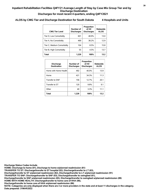# **ALOS by CMG Tier and Discharge Destination for South Dakota 4 Hospitals and Units**

| <b>CMG Tier Level</b>      | Number of<br><b>Discharges</b> | Proportion<br>of All<br><b>Discharges</b> | Statewide<br><b>ALOS</b> |
|----------------------------|--------------------------------|-------------------------------------------|--------------------------|
| Tier D, Low Comorbidity    | 601                            | 48.9%                                     | 13.0                     |
| Tier A, No Comorbidity     | 469                            | 38.2%                                     | 12.9                     |
| Tier C, Medium Comorbidity | 104                            | 8.5%                                      | 15.8                     |
| Tier B, High Comorbidity   | 55                             | 4.5%                                      | 13.7                     |
| Total                      | 1.229                          | 100%                                      | 13.2                     |

| <b>Discharge</b><br><b>Destination</b> | Number of<br><b>Discharges</b> | Proportion<br>of All<br><b>Discharges</b> | <b>Statewide</b><br><b>ALOS</b> |
|----------------------------------------|--------------------------------|-------------------------------------------|---------------------------------|
| Home with Home Health                  | 492                            | 40.0%                                     | 13.9                            |
| Home                                   | 421                            | 34.3%                                     | 11.3                            |
| Transfer to SNF                        | 156                            | 12.7%                                     | 20.1                            |
| Transfer to ST                         | 120                            | 9.8%                                      | 9.1                             |
| Other                                  | 40                             | 3.3%                                      | 11.1                            |
| <b>Total</b>                           | 1.229                          | 100%                                      | 13.2                            |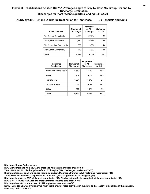# **ALOS by CMG Tier and Discharge Destination for Tennessee 30 Hospitals and Units**

| <b>CMG Tier Level</b>      | Number of<br><b>Discharges</b> | Proportion<br>of All<br><b>Discharges</b> | Statewide<br><b>ALOS</b> |
|----------------------------|--------------------------------|-------------------------------------------|--------------------------|
| Tier D, Low Comorbidity    | 4.630                          | 47 2%                                     | 12.7                     |
| Tier A, No Comorbidity     | 3.582                          | 36.5%                                     | 12.0                     |
| Tier C, Medium Comorbidity | 880                            | 9.0%                                      | 14.0                     |
| Tier B, High Comorbidity   | 719                            | 7.3%                                      | 13.9                     |
| Total                      | 9.811                          | 100%                                      | 12.7                     |

| <b>Discharge</b><br><b>Destination</b> | Number of<br><b>Discharges</b> | Proportion<br>of All<br><b>Discharges</b> | <b>Statewide</b><br><b>ALOS</b> |
|----------------------------------------|--------------------------------|-------------------------------------------|---------------------------------|
| Home with Home Health                  | 5.660                          | 57.7%                                     | 13.2                            |
| Home                                   | 1,909                          | 19.5%                                     | 11.5                            |
| Transfer to ST                         | 1.084                          | 11.0%                                     | 8.4                             |
| Transfer to SNF                        | 990                            | 10.1%                                     | 17.1                            |
| Other                                  | 168                            | 1.7%                                      | 8.9                             |
| <b>Total</b>                           | 9,811                          | 100%                                      | 12.7                            |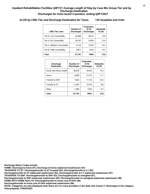# **ALOS by CMG Tier and Discharge Destination for Texas 135 Hospitals and Units**

| <b>CMG Tier Level</b>      | Number of<br><b>Discharges</b> | Proportion<br>of All<br><b>Discharges</b> | Statewide<br><b>ALOS</b> |
|----------------------------|--------------------------------|-------------------------------------------|--------------------------|
| Tier D, Low Comorbidity    | 29,480                         | 48.2%                                     | 12.8                     |
| Tier A, No Comorbidity     | 20.707                         | 33.8%                                     | 12.0                     |
| Tier C, Medium Comorbidity | 6,133                          | 10.0%                                     | 14.2                     |
| Tier B, High Comorbidity   | 4,871                          | 8.0%                                      | 14.2                     |
| Total                      | 61,191                         | 100%                                      | 12.8                     |

| <b>Discharge</b><br><b>Destination</b> | Number of<br><b>Discharges</b> | Proportion<br>of All<br><b>Discharges</b> | <b>Statewide</b><br><b>ALOS</b> |
|----------------------------------------|--------------------------------|-------------------------------------------|---------------------------------|
| Home with Home Health                  | 36,679                         | 59.9%                                     | 13.2                            |
| Home                                   | 9.600                          | 15.7%                                     | 11.7                            |
| Transfer to SNF                        | 7.042                          | 11.5%                                     | 16.5                            |
| Transfer to ST                         | 6.281                          | 10.3%                                     | 8.6                             |
| Other                                  | 1.589                          | 2.6%                                      | 9.7                             |
| <b>Total</b>                           | 61,191                         | 100%                                      | 12.8                            |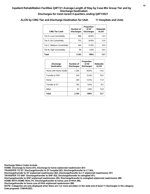# **ALOS by CMG Tier and Discharge Destination for Utah 11 Hospitals and Units**

| <b>CMG Tier Level</b>      | Number of<br><b>Discharges</b> | Proportion<br>of All<br><b>Discharges</b> | <b>Statewide</b><br><b>ALOS</b> |
|----------------------------|--------------------------------|-------------------------------------------|---------------------------------|
| Tier D, Low Comorbidity    | 968                            | 44.8%                                     | 13.3                            |
| Tier A, No Comorbidity     | 752                            | 34.8%                                     | 12.9                            |
| Tier C, Medium Comorbidity | 344                            | 15.9%                                     | 16.0                            |
| Tier B, High Comorbidity   | 99                             | 4.6%                                      | 16.4                            |
| <b>Total</b>               | 2.163                          | 100%                                      | 13.7                            |

| <b>Discharge</b><br><b>Destination</b> | Number of<br><b>Discharges</b> | Proportion<br>of All<br><b>Discharges</b> | <b>Statewide</b><br><b>ALOS</b> |
|----------------------------------------|--------------------------------|-------------------------------------------|---------------------------------|
| Home with Home Health                  | 1,293                          | 59.8%                                     | 14.0                            |
| Transfer to SNF                        | 334                            | 15.4%                                     | 16.5                            |
| Home                                   | 293                            | 13.5%                                     | 11.9                            |
| Transfer to ST                         | 182                            | 8.4%                                      | 9.5                             |
| Other                                  | 61                             | 2.8%                                      | 13.8                            |
| <b>Total</b>                           | 2,163                          | 100%                                      | 13.7                            |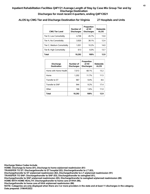# **ALOS by CMG Tier and Discharge Destination for Virginia 27 Hospitals and Units**

| <b>CMG Tier Level</b>      | Number of<br><b>Discharges</b> | Proportion<br>of All<br><b>Discharges</b> | <b>Statewide</b><br><b>ALOS</b> |
|----------------------------|--------------------------------|-------------------------------------------|---------------------------------|
| Tier D, Low Comorbidity    | 4.708                          | 45.7%                                     | 13.0                            |
| Tier A, No Comorbidity     | 3.920                          | 38.1%                                     | 124                             |
| Tier C, Medium Comorbidity | 1,051                          | 10.2%                                     | 14.0                            |
| Tier B, High Comorbidity   | 613                            | 6.0%                                      | 13.7                            |
| Total                      | 10.292                         | 100%                                      | 12.9                            |

| <b>Discharge</b><br><b>Destination</b> | Number of<br><b>Discharges</b> | Proportion<br>of All<br><b>Discharges</b> | <b>Statewide</b><br><b>ALOS</b> |
|----------------------------------------|--------------------------------|-------------------------------------------|---------------------------------|
| Home with Home Health                  | 7.013                          | 68.1%                                     | 13.2                            |
| Home                                   | 1.202                          | 11.7%                                     | 11.5                            |
| Transfer to ST                         | 967                            | 9.4%                                      | 8.6                             |
| Transfer to SNF                        | 944                            | 9.2%                                      | 17.4                            |
| Other                                  | 166                            | 1.6%                                      | 11.0                            |
| <b>Total</b>                           | 10.292                         | 100%                                      | 12.9                            |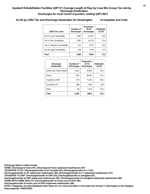# **ALOS by CMG Tier and Discharge Destination for Washington 14 Hospitals and Units**

| <b>CMG Tier Level</b>      | Number of<br><b>Discharges</b> | Proportion<br>of All<br><b>Discharges</b> | <b>Statewide</b><br><b>ALOS</b> |
|----------------------------|--------------------------------|-------------------------------------------|---------------------------------|
| Tier D, Low Comorbidity    | 1,081                          | 43.5%                                     | 13.6                            |
| Tier A, No Comorbidity     | 1.061                          | 42.7%                                     | 12.9                            |
| Tier C, Medium Comorbidity | 241                            | 9.7%                                      | 14.9                            |
| Tier B, High Comorbidity   | 102                            | 4.1%                                      | 17.5                            |
| Total                      | 2.485                          | 100%                                      | 13.6                            |

| <b>Discharge</b><br><b>Destination</b> | Number of<br><b>Discharges</b> | Proportion<br>of All<br><b>Discharges</b> | <b>Statewide</b><br><b>ALOS</b> |
|----------------------------------------|--------------------------------|-------------------------------------------|---------------------------------|
| Home with Home Health                  | 1,033                          | 41.6%                                     | 14.5                            |
| Home                                   | 953                            | 38.4%                                     | 12.3                            |
| Transfer to SNF                        | 273                            | 11.0%                                     | 18.5                            |
| Transfer to ST                         | 188                            | 7.6%                                      | 8.8                             |
| Other                                  | 38                             | 1.5%                                      | 10.4                            |
| <b>Total</b>                           | 2.485                          | 100%                                      | 13.6                            |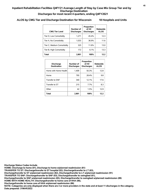# **ALOS by CMG Tier and Discharge Destination for Wisconsin 18 Hospitals and Units**

| <b>CMG Tier Level</b>      | Number of<br><b>Discharges</b> | Proportion<br>of All<br><b>Discharges</b> | Statewide<br><b>ALOS</b> |
|----------------------------|--------------------------------|-------------------------------------------|--------------------------|
| Tier D, Low Comorbidity    | 1.271                          | 45.4%                                     | 12.3                     |
| Tier A, No Comorbidity     | 1,033                          | 36.9%                                     | 11.6                     |
| Tier C, Medium Comorbidity | 325                            | 11.6%                                     | 13.0                     |
| Tier B, High Comorbidity   | 172                            | 6.1%                                      | 13.3                     |
| Total                      | 2.801                          | 100%                                      | 12.2                     |

| <b>Discharge</b><br><b>Destination</b> | Number of<br><b>Discharges</b> | Proportion<br>of All<br><b>Discharges</b> | <b>Statewide</b><br><b>ALOS</b> |
|----------------------------------------|--------------------------------|-------------------------------------------|---------------------------------|
| Home with Home Health                  | 1.409                          | 50.3%                                     | 12.8                            |
| Home                                   | 795                            | 28.4%                                     | 9.8                             |
| Transfer to SNF                        | 340                            | 12.1%                                     | 17.6                            |
| Transfer to ST                         | 215                            | 7.7%                                      | 8.3                             |
| Other                                  | 42                             | 1.5%                                      | 12.9                            |
| <b>Total</b>                           | 2.801                          | 100%                                      | 12.2                            |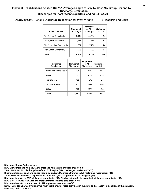# **ALOS by CMG Tier and Discharge Destination for West Virginia 8 Hospitals and Units**

| <b>CMG Tier Level</b>      | Number of<br><b>Discharges</b> | Proportion<br>of All<br><b>Discharges</b> | Statewide<br><b>ALOS</b> |
|----------------------------|--------------------------------|-------------------------------------------|--------------------------|
| Tier D, Low Comorbidity    | 2.114                          | 48.5%                                     | 12.4                     |
| Tier A, No Comorbidity     | 1,683                          | 38.6%                                     | 12.1                     |
| Tier C, Medium Comorbidity | 337                            | 7.7%                                      | 14.0                     |
| Tier B, High Comorbidity   | 228                            | 5.2%                                      | 12.4                     |
| Total                      | 4.362                          | 100%                                      | 12.4                     |

| <b>Discharge</b><br><b>Destination</b> | Number of<br><b>Discharges</b> | Proportion<br>of All<br><b>Discharges</b> | <b>Statewide</b><br><b>ALOS</b> |
|----------------------------------------|--------------------------------|-------------------------------------------|---------------------------------|
| Home with Home Health                  | 2.704                          | 62.0%                                     | 13.1                            |
| Home                                   | 677                            | 15.5%                                     | 10.9                            |
| Transfer to ST                         | 489                            | 11.2%                                     | 8.7                             |
| Transfer to SNF                        | 372                            | 8.5%                                      | 16.0                            |
| Other                                  | 120                            | 2.8%                                      | 9.4                             |
| Total                                  | 4,362                          | 100%                                      | 12.4                            |